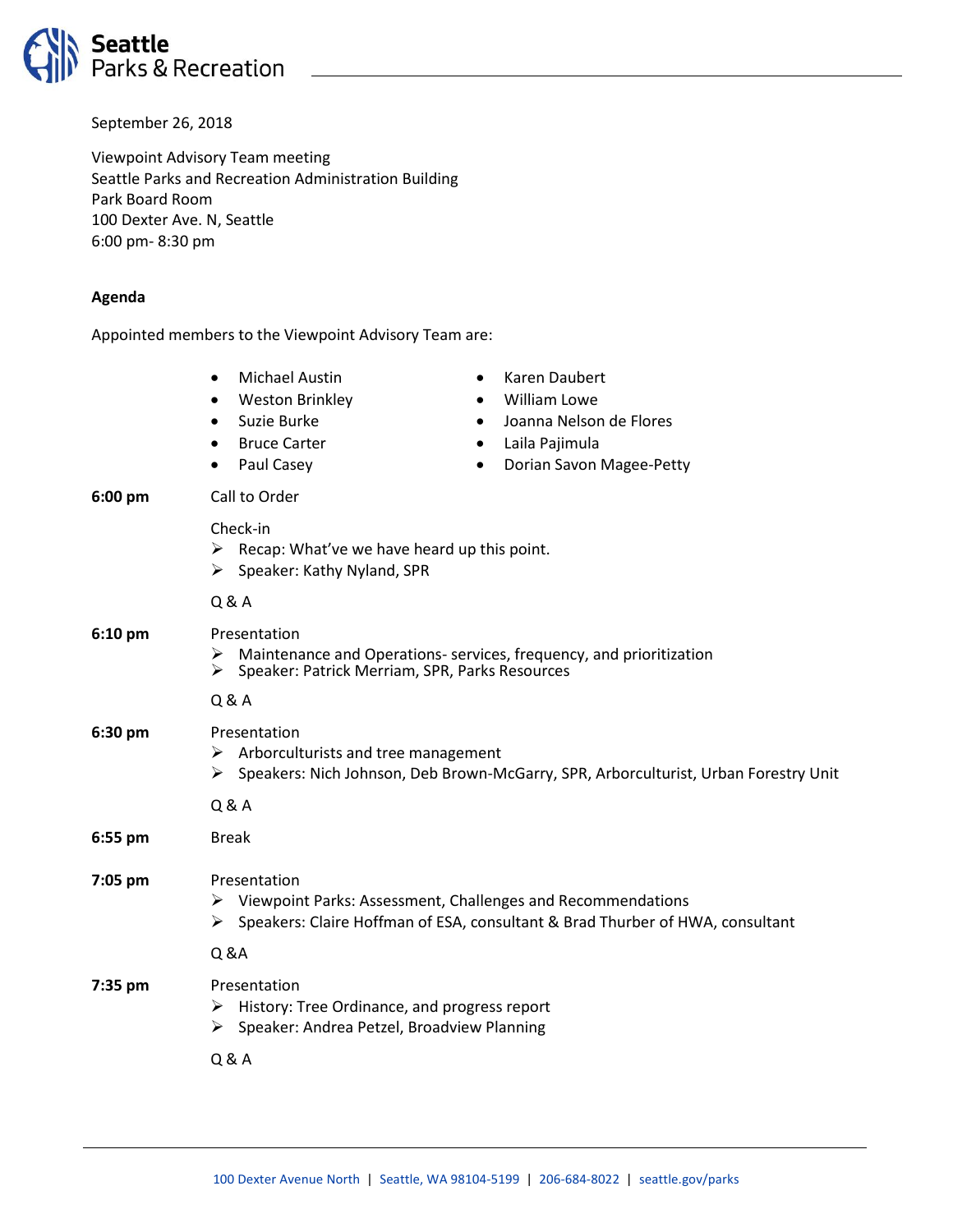

September 26, 2018

Viewpoint Advisory Team meeting Seattle Parks and Recreation Administration Building Park Board Room 100 Dexter Ave. N, Seattle 6:00 pm- 8:30 pm

## **Agenda**

Appointed members to the Viewpoint Advisory Team are:

• Michael Austin • Weston Brinkley • Suzie Burke **Bruce Carter** Paul Casey • Karen Daubert • William Lowe • Joanna Nelson de Flores • Laila Pajimula • Dorian Savon Magee-Petty **6:00 pm** Call to Order Check-in  $\triangleright$  Recap: What've we have heard up this point.  $\triangleright$  Speaker: Kathy Nyland, SPR Q & A **6:10 pm** Presentation  $\triangleright$  Maintenance and Operations- services, frequency, and prioritization  $\triangleright$  Speaker: Patrick Merriam, SPR, Parks Resources ➢ Speaker: Patrick Merriam, SPR, Parks Resources Q & A **6:30 pm** Presentation  $\triangleright$  Arborculturists and tree management ➢ Speakers: Nich Johnson, Deb Brown-McGarry, SPR, Arborculturist, Urban Forestry Unit Q & A **6:55 pm** Break **7:05 pm** Presentation ➢ Viewpoint Parks: Assessment, Challenges and Recommendations ➢ Speakers: Claire Hoffman of ESA, consultant & Brad Thurber of HWA, consultant Q &A **7:35 pm** Presentation ➢ History: Tree Ordinance, and progress report ➢ Speaker: Andrea Petzel, Broadview Planning Q & A